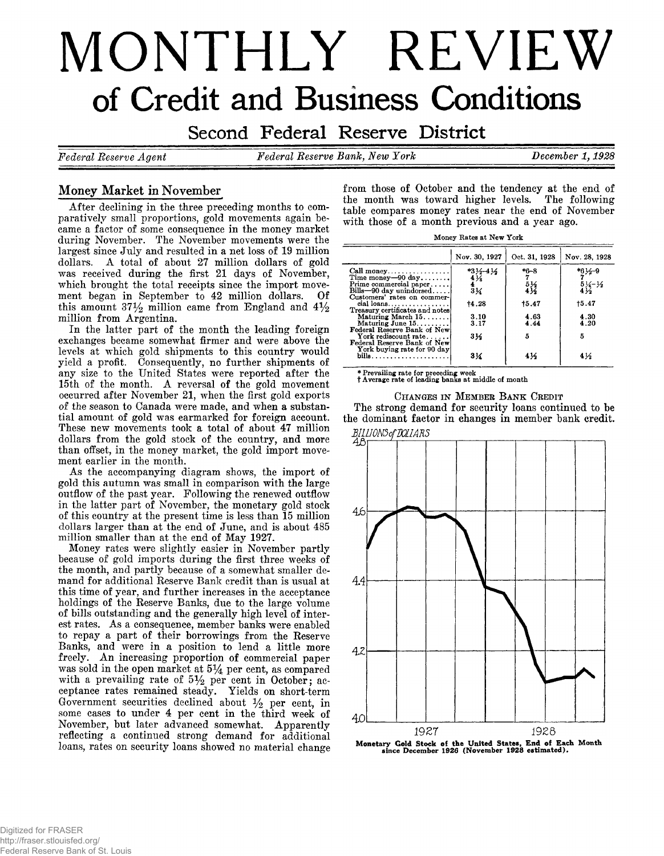# **MONTHLY REVIEW of Credit and Business Conditions**

Second Federal Reserve District

*Federal Eeserve Agent Federal Eeserve Bank, New York December 1,1928*

# Money Market in November

After declining in the three preceding months to comparatively small proportions, gold movements again became a factor of some consequence in the money market during November. The November movements were the largest since July and resulted in a net loss of 19 million dollars. A total of about 27 million dollars of gold was received during the first 21 days of November, which brought the total receipts since the import movement began in September to 42 million dollars. Of this amount  $37\frac{1}{2}$  million came from England and  $4\frac{1}{2}$ million from Argentina.

In the latter part of the month the leading foreign exchanges became somewhat firmer and were above the levels at which gold shipments to this country would yield a profit. Consequently, no further shipments of any size to the United States were reported after the 15th of the month. A reversal of the gold movement occurred after November 21, when the first gold exports of the season to Canada were made, and when a substantial amount of gold was earmarked for foreign account. These new movements took a total of about 47 million dollars from the gold stock of the country, and more than offset, in the money market, the gold import movement earlier in the month.

As the accompanying diagram shows, the import of gold this autumn was small in comparison with the large outflow of the past year. Following the renewed outflow in the latter part of November, the monetary gold stock of this country at the present time is less than 15 million dollars larger than at the end of June, and is about 485 million smaller than at the end of May 1927.

Money rates were slightly easier in November partly because of gold imports during the first three weeks of the month, and partly because of a somewhat smaller demand for additional Reserve Bank credit than is usual at this time of year, and further increases in the acceptance holdings of the Reserve Banks, due to the large volume of bills outstanding and the generally high level of interest rates. As a consequence, member banks were enabled to repay a part of their borrowings from the Reserve Banks, and were in a position to lend a little more freely. An increasing proportion of commercial paper was sold in the open market at  $5\frac{1}{4}$  per cent, as compared with a prevailing rate of  $5\frac{1}{2}$  per cent in October; acceptance rates remained steady. Yields on short-term Government securities declined about  $\frac{1}{2}$  per cent, in some cases to under 4 per cent in the third week of November, but later advanced somewhat. Apparently reflecting a continued strong demand for additional loans, rates on security loans showed no material change

from those of October and the tendency at the end of the month was toward higher levels. The following table compares money rates near the end of November with those of a month previous and a year ago.

|                                                                                | Nov. 30, 1927   | Oct. 31, 1928   | Nov. 28, 1928                               |
|--------------------------------------------------------------------------------|-----------------|-----------------|---------------------------------------------|
| Call money                                                                     | $*3/2 - 4/2$    | $*6 - 8$        | *6½–9                                       |
| Time money-90 day                                                              | $4\frac{1}{6}$  |                 | $7 - 5$<br>$4\frac{1}{2}$<br>$4\frac{1}{2}$ |
| Prime commercial paper                                                         | $\frac{4}{3}$ % | $\frac{51}{41}$ |                                             |
| $Bills - 90$ day unindorsed                                                    |                 |                 |                                             |
| Customers' rates on commer-<br>$cial$ loans<br>Treasury certificates and notes | 14.28           | 15.47           | 15.47                                       |
| Maturing March 15.                                                             | 3.10            | 4.63            | 4.30                                        |
| Maturing June $15, \ldots, \ldots$                                             | 3.17            | 4.44            | 4.20                                        |
| Federal Reserve Bank of New                                                    |                 |                 |                                             |
| York rediscount rate                                                           | 314             | 5               | 5                                           |
| Federal Reserve Bank of New                                                    |                 |                 |                                             |
| York buying rate for 90 day                                                    |                 |                 |                                             |
|                                                                                | 3½              | 4½              | $4\frac{1}{2}$                              |

CHANGES IN MEMBER BANK CREDIT The strong demand for security loans continued to be

**\* Prevailing rate for preceding week # t Average rate of leading banks at middle of month**



Monetary Gold Stock of the United States, End of Each Month since December 1926 (November 1928 estimated).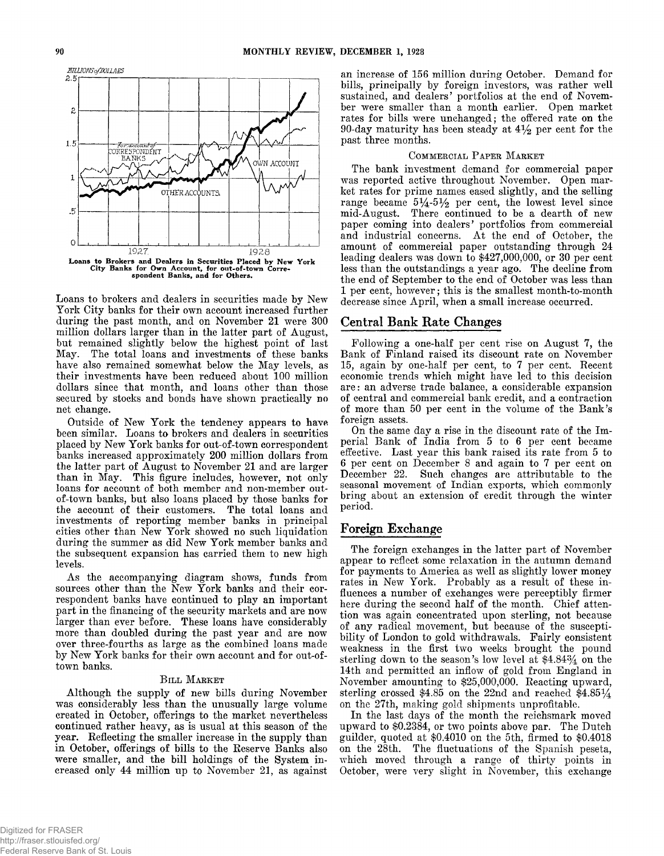

Loans to brokers and dealers in securities made by New York City banks for their own account increased further during the past month, and on November 21 were 300 million dollars larger than in the latter part of August, but remained slightly below the highest point of last May. The total loans and investments of these banks have also remained somewhat below the May levels, as their investments have been reduced about 100 million dollars since that month, and loans other than those secured by stocks and bonds have shown practically no net change.

Outside of New York the tendency appears to have been similar. Loans to brokers and dealers in securities placed by New York banks for out-of-town correspondent banks increased approximately 200 million dollars from the latter part of August to November 21 and are larger than in May. This figure includes, however, not only loans for account of both member and non-member outof-town banks, but also loans placed by those banks for the account of their customers. The total loans and investments of reporting member banks in principal cities other than New York showed no such liquidation during the summer as did New York member banks and the subsequent expansion has carried them to new high levels.

As the accompanying diagram shows, funds from sources other than the New York banks and their correspondent banks have continued to play an important part in the financing of the security markets and are now larger than ever before. These loans have considerably more than doubled during the past year and are now over three-fourths as large as the combined loans made by New York banks for their own account and for out-oftown banks.

#### BILL MARKET

Although the supply of new bills during November was considerably less than the unusually large volume created in October, offerings to the market nevertheless continued rather heavy, as is usual at this season of the year. Reflecting the smaller increase in the supply than in October, offerings of bills to the Reserve Banks also were smaller, and the bill holdings of the System increased only 44 million up to November 21, as against an increase of 156 million during October. Demand for bills, principally by foreign investors, was rather well sustained, and dealers' portfolios at the end of November were smaller than a month earlier. Open market rates for bills were unchanged; the offered rate on the 90-day maturity has been steady at 4*y2* per cent for the past three months.

#### COMMERCIAL PAPER MARKET

The bank investment demand for commercial paper was reported active throughout November. Open market rates for prime names eased slightly, and the selling range became  $5\frac{1}{4}$ -5 $\frac{1}{2}$  per cent, the lowest level since mid-August. There continued to be a dearth of new paper coming into dealers' portfolios from commercial and industrial concerns. At the end of October, the amount of commercial paper outstanding through 24 leading dealers was down to \$427,000,000, or 30 per cent less than the outstandings a year ago. The decline from the end of September to the end of October was less than 1 per cent, however; this is the smallest month-to-month decrease since April, when a small increase occurred.

## Central Bank Rate Changes

Following a one-half per cent rise on August 7, the Bank of Finland raised its discount rate on November 15, again by one-half per cent, to 7 per cent. Recent economic trends which might have led to this decision are: an adverse trade balance, a considerable expansion of central and commercial bank credit, and a contraction of more than 50 per cent in the volume of the Bank's foreign assets.

On the same day a rise in the discount rate of the Imperial Bank of India from 5 to 6 per cent became effective. Last year this bank raised its rate from 5 to 6 per cent on December 8 and again to 7 per cent on December 22. Such changes are attributable to the seasonal movement of Indian exports, which commonly bring about an extension of credit through the winter period.

# Foreign Exchange

The foreign exchanges in the latter part of November appear to reflect some relaxation in the autumn demand for payments to America as well as slightly lower money rates in New York. Probably as a result of these influences a number of exchanges were perceptibly firmer here during the second half of the month. Chief attention was again concentrated upon sterling, not because of any radical movement, but because of the susceptibility of London to gold withdrawals. Fairly consistent weakness in the first two weeks brought the pound sterling down to the season's low level at \$4.84% on the 14th and permitted an inflow of gold from England in November amounting to \$25,000,000. Reacting upward, sterling crossed \$4.85 on the 22nd and reached \$4.85 $\frac{1}{4}$ on the 27th, making gold shipments unprofitable.

In the last days of the month the reichsmark moved upward to \$0.2384, or two points above par. The Dutch guilder, quoted at \$0.4010 on the 5th, firmed to \$0.4018 on the 28th. The fluctuations of the Spanish peseta, which moved through a range of thirty points in October, were very slight in November, this exchange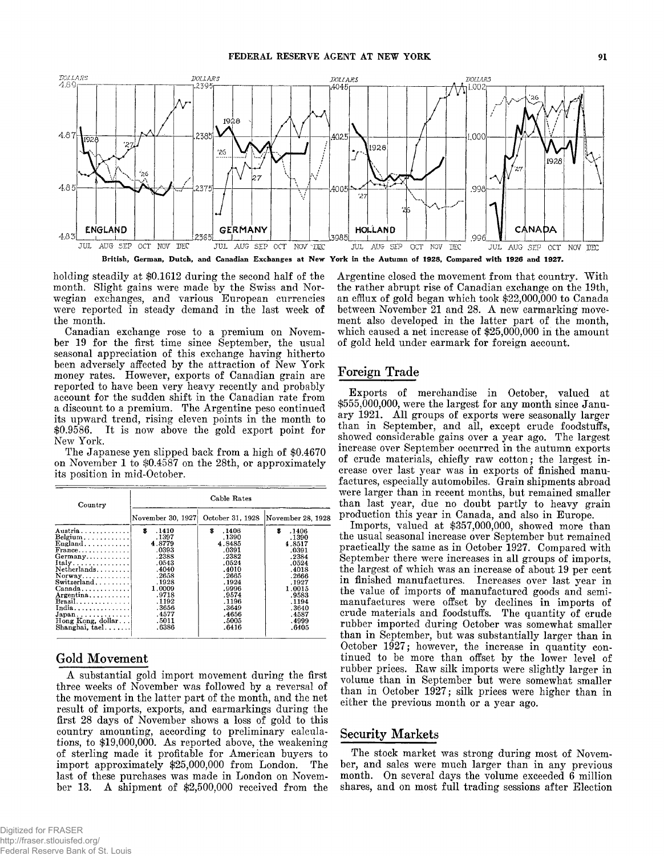

**holding steadily at \$0.1612 during the second half of the month. Slight gains were made by the Swiss and Norwegian exchanges, and various European currencies were reported in steady demand in the last week of the month.**

**Canadian exchange rose to a premium on November 19 for the first time since September, the usual seasonal appreciation of this exchange having hitherto been adversely affected by the attraction of New York money rates. However, exports of Canadian grain are reported to have been very heavy recently and probably account for the sudden shift in the Canadian rate from a discount to a premium. The Argentine peso continued its upward trend, rising eleven points in the month to \$0.9586. It is now above the gold export point for New York.**

**The Japanese yen slipped back from a high of \$0.4670 on November 1 to \$0.4587 on the 28th, or approximately its position in mid-October.**

| Country                                                                                                                                                                                                                                                                                                                                        | Cable Rates                                                                                                                                         |                                                                                                                                                      |                                                                                                                                                     |  |  |
|------------------------------------------------------------------------------------------------------------------------------------------------------------------------------------------------------------------------------------------------------------------------------------------------------------------------------------------------|-----------------------------------------------------------------------------------------------------------------------------------------------------|------------------------------------------------------------------------------------------------------------------------------------------------------|-----------------------------------------------------------------------------------------------------------------------------------------------------|--|--|
|                                                                                                                                                                                                                                                                                                                                                | November 30, 1927                                                                                                                                   | October 31, 1928                                                                                                                                     | November 28, 1928                                                                                                                                   |  |  |
| $A$ ustria<br>$Belgium \ldots \ldots \ldots$<br>$\pmb{\text{England}}$<br>$Frame \dots \dots \dots \dots$<br>$Germany$<br>Italy<br>Netherlands<br>$Normay$<br>Switzerland<br>$Canada \ldots \ldots \ldots$<br>Argentina<br>$Brazil, \ldots, \ldots, \ldots$<br>India<br>$Japan \ldots \ldots \ldots$<br>Hong Kong, dollar<br>$Shanghai, tael.$ | .1410<br>s<br>.1397<br>4.8779<br>.0393<br>.2388<br>.0543<br>.4040<br>.2658<br>.1928<br>1.0009<br>.9718<br>.1192<br>.3656<br>.4577<br>.5011<br>.6386 | \$<br>.1406<br>.1390<br>4.8485<br>.0391<br>.2382<br>.0524<br>.4010<br>.2665<br>. 1924<br>.9996<br>.9574<br>.1196<br>.3649<br>.4656<br>.5005<br>.6416 | s<br>.1406<br>.1390<br>4.8517<br>.0391<br>.2384<br>.0524<br>.4018<br>.2666<br>.1927<br>1.0015<br>.9583<br>.1194<br>.3640<br>.4587<br>.4999<br>.6405 |  |  |

# Gold Movement

**A substantial gold import movement during the first** three weeks of November was followed by a reversal of **the movement in the latter part of the month, and the net result of imports, exports, and earmarkings during the first 28 days of November shows a loss of gold to this country amounting, according to preliminary calculations, to \$19,000,000. As reported above, the weakening of sterling made it profitable for American buyers to import approximately \$25,000,000 from London. The last of these purchases was made in London on November 13. A shipment of \$2,500,000 received from the** **Argentine closed the movement from that country. With the rather abrupt rise of Canadian exchange on the 19th, an efflux of gold began which took \$22,000,000 to Canada between November 21 and 28. A new earmarking movement also developed in the latter part of the month, which caused a net increase of \$25,000,000 in the amount of gold held under earmark for foreign account.**

# **Foreign Trade**

**Exports of merchandise in October, valued at \$555,000,000, were the largest for any month since January 1921. A ll groups of exports were seasonally larger than in September, and all, except crude foodstuffs, showed considerable gains over a year ago. The largest increase over September occurred in the autumn exports of crude materials, chiefly raw cotton; the largest increase over last year was in exports of finished manufactures, especially automobiles. Grain shipments abroad were larger than in recent months, but remained smaller than last year, due no doubt partly to heavy grain production this year in Canada, and also in Europe.**

**Imports, valued at \$357,000,000, showed more than the usual seasonal increase over September but remained practically the same as in October 1927. Compared with September there were increases in all groups of imports, the largest of which was an increase of about 19 per cent in finished manufactures. Increases over last year in the value of imports of manufactured goods and semimanufactures were offset by declines in imports of crude materials and foodstuffs. The quantity of crude rubber imported during October was somewhat smaller than in September, but was substantially larger than in October 1927; however, the increase in quantity continued to be more than offset by the lower level of rubber prices. Raw silk imports were slightly larger in volume than in September but were somewhat smaller than in October 1927; silk prices were higher than in either the previous month or a year ago.**

# **Security Markets**

**The stock market was strong during most of November, and sales were much larger than in any previous month. On several days the volume exceeded 6 million shares, and on most full trading sessions after Election**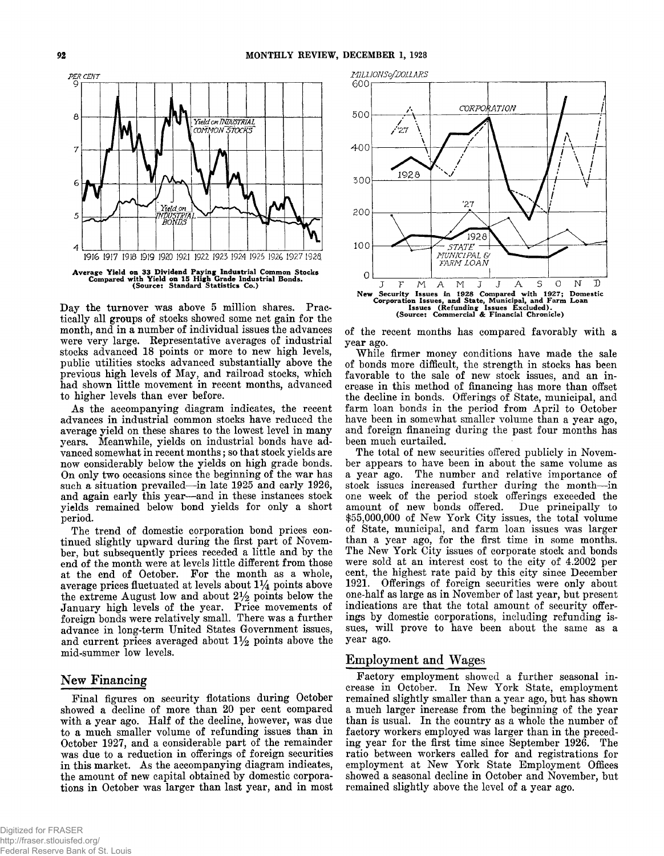

**Day the turnover was above 5 million shares. Practically all groups of stocks showed some net gain for the month, and in a number of individual issues the advances were very large. Representative averages of industrial stocks advanced 18 points or more to new high levels, public utilities stocks advanced substantially above the previous high levels of May, and railroad stocks, which had shown little movement in recent months, advanced to higher levels than ever before.**

**As the accompanying diagram indicates, the recent advances in industrial common stocks have reduced the average yield on these shares to the lowest level in many years. Meanwhile, yields on industrial bonds have advanced somewhat in recent months; so that stock yields are now considerably below the yields on high grade bonds. On only two occasions since the beginning of the war has such a situation prevailed— in late 1925 and early 1926, and again early this year— and in these instances stock yields remained below bond yields for only a short period.**

**The trend of domestic corporation bond prices continued slightly upward during the first part of November, but subsequently prices receded a little and by the end of the month were at levels little different from those at the end of October. For the month as a whole, average prices fluctuated at levels about** *l 1/^* **points above** the extreme August low and about  $2\frac{1}{2}$  points below the **January high levels of the year. Price movements of foreign bonds were relatively small. There was a further advance in long-term United States Government issues,** and current prices averaged about  $1\frac{1}{2}$  points above the **mid-summer low levels.**

# **New Financing**

**Final figures on security flotations during October showed a decline of more than 20 per cent compared** with a year ago. Half of the decline, however, was due **to a much smaller volume of refunding issues than in October 1927, and a considerable part of the remainder was due to a reduction in offerings of foreign securities in this market. As the accompanying diagram indicates, the amount of new capital obtained by domestic corporations in October was larger than last year, and in most**



**of the recent months has compared favorably with a year ago.**

**While firmer money conditions have made the sale of bonds more difficult, the strength in stocks has been favorable to the sale of new stock issues, and an increase in this method of financing has more than offset the decline in bonds. Offerings of State, municipal, and farm loan bonds in the period from April to October have been in somewhat smaller volume than a year ago, and foreign financing during the past four months has been much curtailed.**

**The total of new securities offered publicly in November appears to have been in about the same volume as a year ago. The number and relative importance of stock issues increased further during the month— in one week of the period stock offerings exceeded the amount of new bonds offered. Due principally to \$55,000,000 of New York City issues, the total volume of State, municipal, and farm loan issues was larger than a year ago, for the first time in some months. The New York City issues of corporate stock and bonds were sold at an interest cost to the city of 4.2002 per cent, the highest rate paid by this city since December 1921. Offerings of foreign securities were only about one-half as large as in November of last year, but present indications are that the total amount of security offerings by domestic corporations, including refunding issues, will prove to have been about the same as a year ago.**

# **Employment and Wages**

**Factory employment showed a further seasonal increase in October. In New York State, employment remained slightly smaller than a year ago, but has shown a much larger increase from the beginning of the year than is usual. In the country as a whole the number of factory workers employed was larger than in the preceding year for the first time since September 1926. The ratio between workers called for and registrations for employment at New York State Employment Offices showed a seasonal decline in October and November, but remained slightly above the level of a year ago.**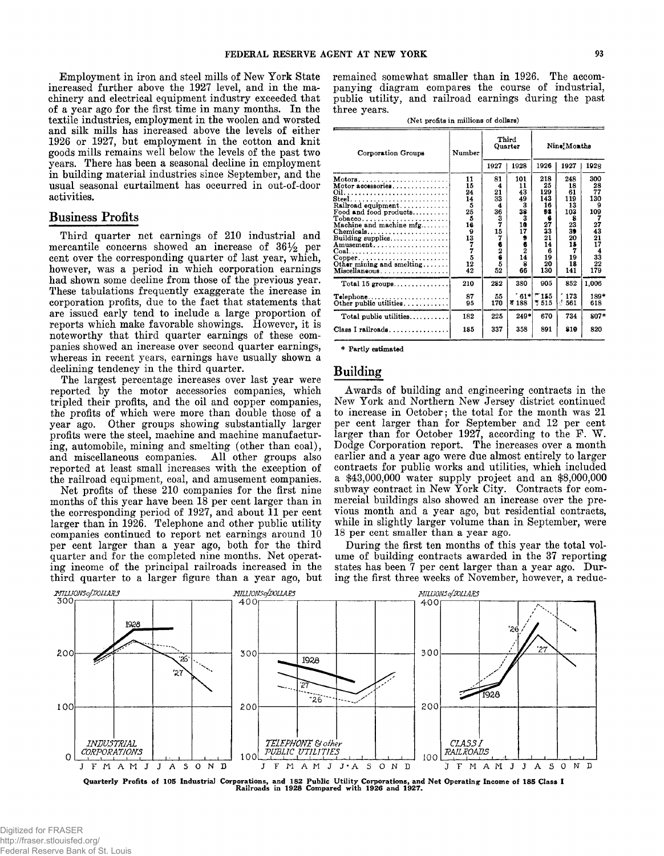**Employment in iron and steel mills of New York State increased further above the 1927 level, and in the machinery and electrical equipment industry exceeded that of a year ago for the first time in many months. In the textile industries, employment in the woolen and worsted and silk mills has increased above the levels of either 1926 or 1927, but employment in the cotton and knit goods mills remains well below the levels of the past two years. There has been a seasonal decline in employment in building material industries since September, and the usual seasonal curtailment has occurred in out-of-door activities.**

### **Business Profits**

**Third quarter net earnings of 210 industrial and mercantile concerns showed an increase of 36% per cent over the corresponding quarter of last year, which, however, was a period in which corporation earnings had shown some decline from those of the previous year. These tabulations frequently exaggerate the increase in corporation profits, due to the fact that statements that are issued early tend to include a large proportion of reports which make favorable showings. However, it is noteworthy that third quarter earnings of these companies showed an increase over second quarter earnings, whereas in recent years, earnings have usually shown a declining tendency in the third quarter.**

**The largest percentage increases over last year were reported by the motor accessories companies, which tripled their profits, and the oil and copper companies, the profits of which were more than double those of a year ago. Other groups showing substantially larger profits were the steel, machine and machine manufacturing, automobile, mining and smelting (other than coal),** and miscellaneous companies. All other groups also **reported at least small increases with the exception of the railroad equipment, coal, and amusement companies.**

**Net profits of these 210 companies for the first nine months of this year have been 18 per cent larger than in** the corresponding period of 1927, and about 11 per cent **larger than in 1926. Telephone and other public utility companies continued to report net earnings around 10 per cent larger than a year ago, both for the third quarter and for the completed nine months. Net operating income of the principal railroads increased in the third quarter to a larger figure than a year ago, but** **remained somewhat smaller than in 1926. The accompanying diagram compares the course of industrial, public utility, and railroad earnings during the past three years.**

**(Net profits in millions of dollars)**

| Corporation Groups                                                                                                                                                                                                                                                                                                                                                                                   | Number                                                                                                          | Third<br>Quarter                                                              |                                                                                                | Nine Months                                                                              |                                                                                          |                                                                               |
|------------------------------------------------------------------------------------------------------------------------------------------------------------------------------------------------------------------------------------------------------------------------------------------------------------------------------------------------------------------------------------------------------|-----------------------------------------------------------------------------------------------------------------|-------------------------------------------------------------------------------|------------------------------------------------------------------------------------------------|------------------------------------------------------------------------------------------|------------------------------------------------------------------------------------------|-------------------------------------------------------------------------------|
|                                                                                                                                                                                                                                                                                                                                                                                                      |                                                                                                                 | 1927                                                                          | 1928                                                                                           | 1926                                                                                     | 1927                                                                                     | 1928                                                                          |
| Motors<br>Motor accessories<br>$\textbf{Steel} \dots \dots \dots \dots \dots \dots \dots \dots$<br>Railroad equipment<br>Food and food products<br>$Chemicals \ldots \ldots \ldots \ldots \ldots$<br>Building supplies<br>Amusement<br>$Coal. \ldots \ldots \ldots \ldots \ldots \ldots \ldots$<br>$\text{Copper} \dots \dots \dots \dots \dots \dots$<br>Other mining and smelting<br>Miscellaneous | 11<br>15<br>24<br>14<br>5<br>25<br>5<br>16<br>9<br>$\begin{smallmatrix}13\3\7\7\5\end{smallmatrix}$<br>12<br>42 | 81<br>4<br>21<br>33<br>4<br>36<br>3<br>7<br>15<br>7<br>6<br>2<br>6<br>5<br>52 | 101<br>11<br>43<br>49<br>3<br>38<br>3<br>10<br>17<br>9<br>6<br>$\overline{2}$<br>14<br>8<br>66 | 218<br>25<br>129<br>143<br>16<br>98<br>6<br>27<br>33<br>21<br>14<br>6<br>19<br>20<br>130 | 248<br>18<br>61<br>119<br>13<br>103<br>я<br>23<br>39<br>20<br>15<br>7<br>19<br>18<br>141 | 300<br>28<br>77<br>130<br>109<br>27<br>43<br>21<br>17<br>4<br>33<br>22<br>179 |
| Total 15 groups                                                                                                                                                                                                                                                                                                                                                                                      | 210                                                                                                             | 282                                                                           | 380                                                                                            | 905                                                                                      | 852                                                                                      | 1,006                                                                         |
|                                                                                                                                                                                                                                                                                                                                                                                                      | 87<br>95                                                                                                        | 55<br>170                                                                     | $61*$<br>₹188                                                                                  | ~155<br>* 515                                                                            | 173<br>$\stackrel{<}{\scriptstyle \sim} 561$                                             | 189*<br>618                                                                   |
| Total public utilities                                                                                                                                                                                                                                                                                                                                                                               | 182                                                                                                             | 225                                                                           | $249*$                                                                                         | 670                                                                                      | 734                                                                                      | 807*                                                                          |
|                                                                                                                                                                                                                                                                                                                                                                                                      | 185                                                                                                             | 337                                                                           | 358                                                                                            | 891                                                                                      | 210                                                                                      | 820                                                                           |

**\* Partly estimated**

# **Building**

**Awards of building and engineering contracts in the New York and Northern New Jersey district continued to increase in October; the total for the month was 21 per cent larger than for September and 12 per cent larger than for October 1927, according to the F. W . Dodge Corporation report. The increases over a month earlier and a year ago were due almost entirely to larger contracts for public works and utilities, which included a \$43,000,000 water supply project and an \$8,000,000 subway contract in New York City. Contracts for commercial buildings also showed an increase over the previous month and a year ago, but residential contracts, while in slightly larger volume than in September, were 18 per cent smaller than a year ago.**

**During the first ten months of this year the total volume of building contracts awarded in the 37 reporting states has been 7 per cent larger than a year ago. During the first three weeks of November, however, a reduc-**

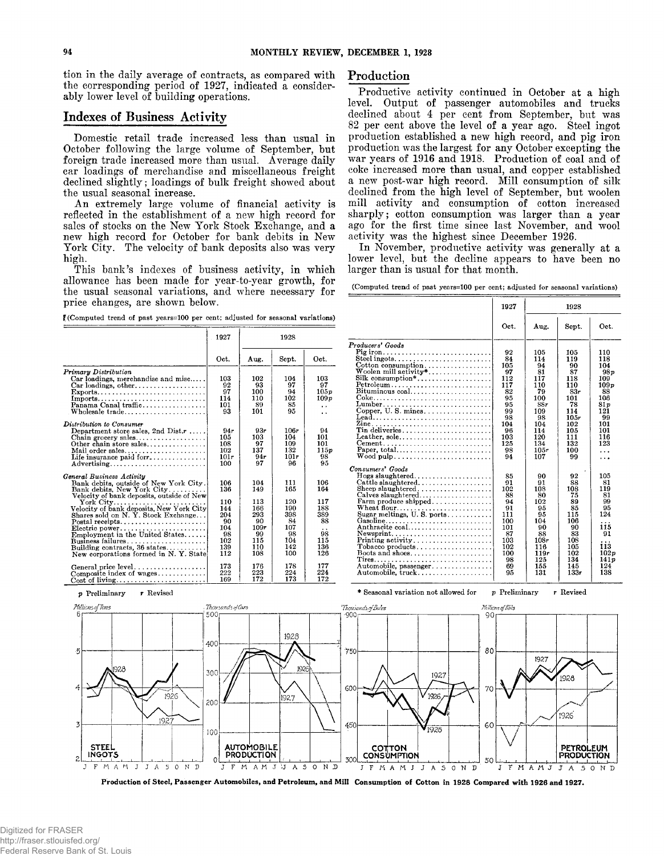**tion in the daily average of contracts, as compared with the corresponding period of 1927, indicated a considerably lower level of building operations.**

# **Indexes of Business Activity**

**Domestic retail trade increased less than usual in October following the large volume of September, but foreign trade increased more than usual. Average daily car loadings of merchandise and miscellaneous freight declined slightly; loadings of bulk freight showed about the usual seasonal increase.**

**An extremely large volume of financial activity is reflected in the establishment of a new high record for sales of stocks on the New York Stock Exchange, and a new high record for October for bank debits in New York City. The velocity of bank deposits also was very high.**

**This bank's indexes of business activity, in which allowance has been made for year-to-year growth, for the usual seasonal variations, and where necessary for price changes, are shown below.**

**f(Computed trend of past years=100 per cent; adjusted for seasonal variations)**

|                                                                                                                                                                                                                                                                                                                                                                                                          | 1927                                                                    | 1928                                                                     |                                                                         |                                                                         |
|----------------------------------------------------------------------------------------------------------------------------------------------------------------------------------------------------------------------------------------------------------------------------------------------------------------------------------------------------------------------------------------------------------|-------------------------------------------------------------------------|--------------------------------------------------------------------------|-------------------------------------------------------------------------|-------------------------------------------------------------------------|
|                                                                                                                                                                                                                                                                                                                                                                                                          | Oct.                                                                    | Aug.                                                                     | Sept.                                                                   | Oct.                                                                    |
| Primary Distribution<br>Car loadings, merchandise and misc<br>Car loadings, other<br>Exports<br>Imports<br>Panama Canal traffic<br>Wholesale $trade \ldots \ldots \ldots \ldots \ldots \ldots$                                                                                                                                                                                                           | 103<br>92<br>97<br>114<br>101<br>93                                     | 102<br>93<br>100<br>110<br>89<br>101                                     | 104<br>97<br>94<br>102<br>85<br>95                                      | 103<br>97<br>105p<br>109p<br>. .<br>. .                                 |
| Distribution to Consumer<br>Department store sales, 2nd Dist. $r \ldots$ .<br>Other chain store sales<br>Mail order sales<br>Life insurance paid for $r_1, \ldots, r_k, \ldots$<br>$Advertising \dots \dots \dots \dots \dots \dots \dots \dots \dots$                                                                                                                                                   | 94r<br>105<br>108<br>102<br>101r<br>100                                 | 93r<br>103<br>97<br>137<br>94r<br>97                                     | 106r<br>104<br>109<br>132<br>101r<br>96                                 | 94<br>101<br>101<br>115 p<br>98<br>95                                   |
| General Business Activity<br>Bank debits, outside of New York City.<br>Bank debits, New York City<br>Velocity of bank deposits, outside of New<br>Velocity of bank deposits, New York City<br>Shares sold on N. Y. Stock Exchange<br>Postal receipts<br>Electric power<br>Employment in the United States<br>Business failures<br>Building contracts, 36 states<br>New corporations formed in N.Y. State | 106<br>136<br>110<br>144<br>204<br>90<br>104<br>98<br>102<br>139<br>112 | 104<br>149<br>113<br>166<br>293<br>90<br>109r<br>99<br>115<br>110<br>108 | 111<br>165<br>120<br>190<br>398<br>84<br>107<br>98<br>104<br>142<br>100 | 106<br>164<br>117<br>188<br>389<br>88<br>. .<br>98<br>115<br>136<br>126 |
| General price level<br>Composite index of wages                                                                                                                                                                                                                                                                                                                                                          | 173<br>222<br>169                                                       | 176<br>223<br>172                                                        | 178<br>224<br>173                                                       | 177<br>224<br>172                                                       |

# **Production**

**Productive activity continued in October at a high level. Output of passenger automobiles and trucks declined about 4 per cent from September, but was 82 per cent above the level of a year ago. Steel ingot production established a new high record, and pig iron production was the largest for any October excepting the war years of 1916 and 1918. Production of coal and of coke increased more than usual, and copper established a new post-war high record. Mill consumption of silk declined from the high level of September, but woolen mill activity and consumption of cotton increased sharply; cotton consumption was larger than a year ago for the first time since last November, and wool activity was the highest since December 1926.**

**In November, productive activity was generally at a lower level, but the decline appears to have been no larger than is usual for that month.**

**(Computed trend of past years=100 per cent; adjusted for seasonal variations)**

|                                                                                                                                                                                          | 1927                          | 1928                              |                                |                                   |
|------------------------------------------------------------------------------------------------------------------------------------------------------------------------------------------|-------------------------------|-----------------------------------|--------------------------------|-----------------------------------|
|                                                                                                                                                                                          | Oct.                          | Aug.                              | Sept.                          | Oct.                              |
| Producers' Goods<br>Pig iron<br>Steel ingots<br>Cotton consumption<br>Woolen mill activity*                                                                                              | 92<br>84<br>105               | 105<br>114<br>94                  | 105<br>119<br>90               | 110<br>118<br>104                 |
| $Petroleum \ldots \ldots \ldots \ldots \ldots \ldots \ldots \ldots$<br>$Bituminous coal.$                                                                                                | 97<br>112<br>117<br>82<br>95  | 81<br>117<br>110<br>79<br>100     | 87<br>118<br>110<br>83r<br>101 | 98 p<br>109<br>109p<br>88<br>106  |
|                                                                                                                                                                                          | 95<br>99<br>98<br>104         | 88r<br>109<br>98<br>104           | 78<br>114<br>10.5r<br>102      | 81n<br>121<br>99<br>101           |
| $\rm{ Tin}$ deliveries<br>Leather, sole<br>Paper, total<br>Wood pulp. $\dots$ , $\dots$ , $\dots$ , $\dots$ , $\dots$ , $\dots$ , $\dots$ , $\dots$                                      | 96<br>103<br>125<br>98<br>94  | 114<br>120<br>134<br>105r<br>107  | 105<br>111<br>132<br>100<br>99 | 101<br>116<br>123<br>.<br>.       |
| Consumers' Goods                                                                                                                                                                         | 85<br>01                      | 90<br>91                          | 92<br>88                       | 105<br>81                         |
| Cattle slaughtered<br>$\text{Sheep slaughtered.} \dots \dots \dots \dots \dots \dots$<br>$Calves slaughtered. \ldots \ldots \ldots \ldots \ldots$<br>Farm produce shipped<br>Wheat flour | 102<br>88<br>94<br>91         | 108<br>80<br>102<br>95            | 108<br>75<br>89<br>85          | 119<br>81<br>99<br>95             |
| Sugar meltings, $U. S.$ ports<br>Gasoline<br>Anthracite coal<br>Newsprint                                                                                                                | 111<br>100<br>101<br>87       | 95<br>104<br>90<br>88             | 115<br>106<br>90<br>83<br>108  | 124<br>115<br>91                  |
| $\text{Printing activity} \dots \dots \dots \dots \dots \dots \dots$<br>Tobacco products<br>$\mathrm{Tres} \dots$<br>Automobile, passenger                                               | 103<br>102<br>100<br>98<br>69 | 108r<br>116<br>119r<br>125<br>155 | 105<br>102<br>134<br>145       | .<br>113<br>102p<br>14 1 p<br>124 |
| Automobile, truck                                                                                                                                                                        | 95                            | 131                               | 133r                           | 138                               |

**\* Seasonal variation not allowed for** *p* **Preliminary r Revised**



Production of Steel, Passenger Automobiles, and Petroleum, and Mill Consumption of Cotton in 1928 Compared with 1926 and 1927.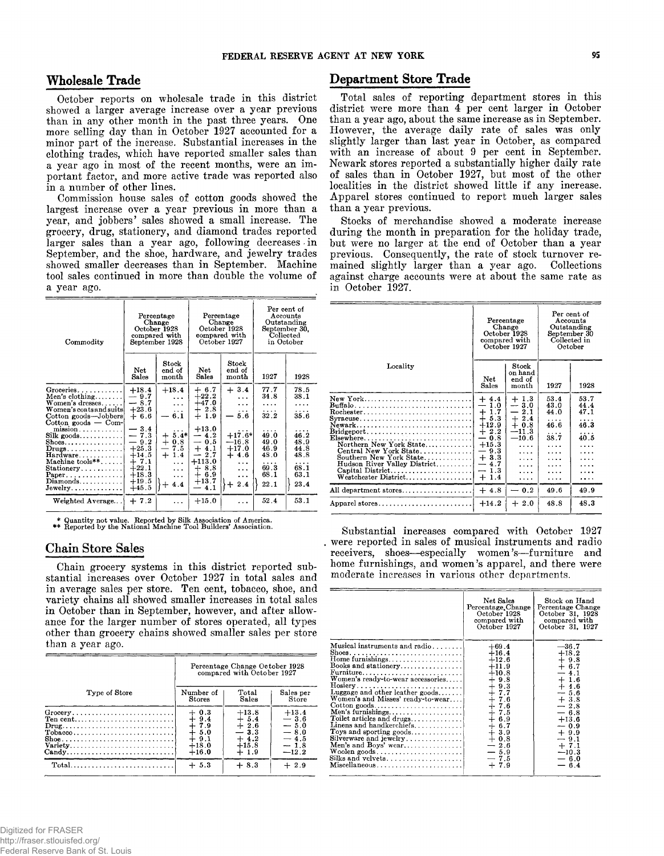## **Wholesale Trade**

**October reports on wholesale trade in this district showed a larger average increase over a year previous than in any other month in the past three years. One more selling day than in October 1927 accounted for a minor part of the increase. Substantial increases in the clothing trades, which have reported smaller sales than a year ago in most of the recent months, were an important factor, and more active trade was reported also in a number of other lines.**

**Commission house sales of cotton goods showed the largest increase over a year previous in more than a year, and jobbers' sales showed a small increase. The grocery, drug, stationery, and diamond trades reported** larger sales than a year ago, following decreases in **September, and the shoe, hardware, and jewelry trades showed smaller decreases than in September. Machine tool sales continued in more than double the volume of a year ago.**

| Commodity                                                                                                                                                                |                                                            | Percentage<br>Change<br>October 1928<br>compared with<br>September 1928 |                                                             | Percentage<br>Change<br>October 1928<br>compared with<br>October 1927 | September 30.<br>Collected<br>in October | Per cent of<br>Accounts<br>Outstanding |
|--------------------------------------------------------------------------------------------------------------------------------------------------------------------------|------------------------------------------------------------|-------------------------------------------------------------------------|-------------------------------------------------------------|-----------------------------------------------------------------------|------------------------------------------|----------------------------------------|
|                                                                                                                                                                          | Net<br>Sales                                               | $^{Stock}$<br>end of<br>month                                           | Net<br>Sales                                                | Stock<br>end of<br>month                                              | 1927                                     | 1928                                   |
| Groceries<br>Men's clothing<br>Women's dresses<br>Women's coats and suits<br>Cotton goods-Jobbers<br>Cotton goods $-$ Com-                                               | $+18.4$<br>$-9.7$<br>$-8.7$<br>$+23.6$<br>$+6.6$           | $+18.4$<br>$\cdots$<br>$\overline{a}$<br>.<br>6.1                       | $+6.7$<br>$+22.2$<br>$+47.0$<br>$+2.8$<br>$+$<br>1.9        | $+3.4$<br>$\cdots$<br>$\cdots$<br>.<br>5.6                            | 77.7<br>34.8<br>.<br>.<br>32.2           | 78.5<br>38.1<br>.<br>.<br>35.6         |
| $mission \ldots \ldots \ldots$<br>Silk goods<br>$\text{Shoes.} \dots \dots \dots \dots \dots$<br>$Drugs \dots \dots \dots \dots$<br>Hardware<br>Machine $\text{tools**}$ | $-3.4$<br>$-7.3$<br>$-9.2$<br>$+25.3$<br>$+14.5$<br>$+7.1$ | $5.4*$<br>┿<br>0.8<br>$+$<br>7.5<br>—<br>$\div$<br>1.4<br>$\cdots$      | $+13.0$<br>$-4.2$<br>$-0.5$<br>$+4.1$<br>$-2.7$<br>$+113.0$ | $+17.6*$<br>$-16.8$<br>$+17.0$<br>$+4.6$<br>$\ddotsc$                 | 49.0<br>49.0<br>46.9<br>48.0<br>.        | 46.2<br>48.9<br>44.8<br>48.8<br>.      |
| $Stationery \ldots$<br>$Paper \ldots \ldots \ldots \ldots$<br>Diamonds<br>Jewelry                                                                                        | $+22.1$<br>$+18.3$<br>$+19.5$<br>$+45.5$                   | $\cdots$<br>$\cdots$<br>┿<br>4.4                                        | $+8.8$<br>$+6.9$<br>$+13.7$<br>4.1                          | $\cdots$<br>$\cdots$<br>2.4<br>┿                                      | 69.3<br>68.1<br>22.1                     | 68.1<br>63.1<br>23.4                   |
| Weighted Average                                                                                                                                                         | $+7.2$                                                     | .                                                                       | $+15.0$                                                     |                                                                       | 52.4                                     | 53.1                                   |

\* Quantity not value. Reported by Silk Association of America. \*\* Reported by the National Machine Tool Builders' Association.

### **Chain Store Sales**

**Chain grocery systems in this district reported substantial increases over October 1927 in total sales and in average sales per store. Ten cent, tobacco, shoe, and variety chains all showed smaller increases in total sales in October than in September, however, and after allowance for the larger number of stores operated, all types other than grocery chains showed smaller sales per store than a year ago.**

|                                                                                                                                                            | Percentage Change October 1928<br>compared with October 1927                       |                                                                       |                                                                      |  |
|------------------------------------------------------------------------------------------------------------------------------------------------------------|------------------------------------------------------------------------------------|-----------------------------------------------------------------------|----------------------------------------------------------------------|--|
| Type of Store                                                                                                                                              | Number of<br><b>Stores</b>                                                         | Total<br>Sales                                                        | Sales per<br>Store                                                   |  |
| Ten cent<br>$Drug \ldots \ldots \ldots \ldots \ldots \ldots \ldots \ldots \}$<br>$\text{Tobacco}\ldots\ldots\ldots\ldots\ldots\ldots\ldots\ldots$<br>Candy | $+0.3$<br>$+9.4$<br>$\frac{1}{4}$ $\frac{7}{5}$ .9<br>$+9.1$<br>$+18.0$<br>$+16.0$ | $+13.8$<br>$+ 5.4$<br>$+2.6$<br>$-3.3$<br>$+4.2$<br>$+15.8$<br>$+1.9$ | $+13.4$<br>$-3.6$<br>$-5.0$<br>$-8.0$<br>$-4.5$<br>$-1.8$<br>$-12.2$ |  |
|                                                                                                                                                            | $+5.3$                                                                             | $+8.3$                                                                | $+2.9$                                                               |  |

# **Department Store Trade**

**Total sales of reporting department stores in this district were more than 4 per cent larger in October than a year ago, about the same increase as in September. However, the average daily rate of sales was only slightly larger than last year in October, as compared with an increase of about 9 per cent in September. Newark stores reported a substantially higher daily rate of sales than in October 1927, but most of the other localities in the district showed little if any increase. Apparel stores continued to report much larger sales than a year previous.**

**Stocks of merchandise showed a moderate increase during the month in preparation for the holiday trade, but were no larger at the end of October than a year previous. Consequently, the rate of stock turnover remained slightly larger than a year ago. Collections against charge accounts were at about the same rate as in October 1927.**

|                                                                                                                                                                                                                                                                                                                                                                                                                                   | Percentage<br>Change<br>October 1928<br>compared with<br>October 1927                                                                                                 |                                                                                                                    | Per cent of<br>Accounts<br>Outstanding<br>September 30<br>Collected in<br>October |                                           |
|-----------------------------------------------------------------------------------------------------------------------------------------------------------------------------------------------------------------------------------------------------------------------------------------------------------------------------------------------------------------------------------------------------------------------------------|-----------------------------------------------------------------------------------------------------------------------------------------------------------------------|--------------------------------------------------------------------------------------------------------------------|-----------------------------------------------------------------------------------|-------------------------------------------|
| Locality                                                                                                                                                                                                                                                                                                                                                                                                                          | Net<br>Sales                                                                                                                                                          | Stock<br>on hand<br>end of<br>month                                                                                | 1927                                                                              | 1928                                      |
| New York<br>$Buffalo \ldots \ldots \ldots \ldots \ldots \ldots \ldots \ldots \ldots$<br>$Rochester \ldots \ldots \ldots \ldots \ldots \ldots \ldots \ldots \ldots$<br>Syracuse<br>Newark<br>$\text{Bridgeport} \dots \dots \dots \dots \dots \dots \dots \dots \dots$<br>Northern New York State<br>Central New York State<br>Southern New York State<br>Hudson River Valley District<br>Capital District<br>Westchester District | $+4.4$<br>1.0<br>—<br>1.7<br>$+$<br>$+$<br>5.3<br>$+12.9$<br>$+2.2$<br>0.8<br>—<br>$+15.3$<br>$-9.3$<br>$+3.3$<br>$-4.7$<br>1.3<br>$\overline{\phantom{0}}$<br>$+1.4$ | $+1.3$<br>$-3.0$<br>2.1<br>—<br>$+2.4$<br>$+0.8$<br>$-11.3$<br>$-10.6$<br>$\cdots$<br>$\cdots$<br>.<br>.<br>.<br>. | 53.4<br>43.0<br>44.0<br>.<br>46.6<br>38.7<br>.<br>.<br>.<br>.                     | 53.7<br>44.4<br>47.1<br>.<br>46.3<br>40.5 |
| All department stores                                                                                                                                                                                                                                                                                                                                                                                                             | $+4.8$                                                                                                                                                                | $-0.2$                                                                                                             | 49.6                                                                              | 49.9                                      |
| Apparel stores                                                                                                                                                                                                                                                                                                                                                                                                                    | $+14.2$                                                                                                                                                               | $+2.0$                                                                                                             | 48.8                                                                              | 48.3                                      |
|                                                                                                                                                                                                                                                                                                                                                                                                                                   |                                                                                                                                                                       |                                                                                                                    |                                                                                   |                                           |

**Substantial increases compared with October 1927 . were reported in sales of musical instruments and radio receivers, shoes— especially women's— furniture and home furnishings, and women's apparel, and there were moderate increases in various other departments.**

|                                                                                                                                                                                                                                                                                                                                                                                                                                                                         | Net Sales<br>Percentage, Change<br>October 1928<br>compared with<br>October 1927                                                                                                                | Stock on Hand<br>Percentage Change<br>October 31, 1928<br>compared with<br>October 31, 1927                                                                                                     |
|-------------------------------------------------------------------------------------------------------------------------------------------------------------------------------------------------------------------------------------------------------------------------------------------------------------------------------------------------------------------------------------------------------------------------------------------------------------------------|-------------------------------------------------------------------------------------------------------------------------------------------------------------------------------------------------|-------------------------------------------------------------------------------------------------------------------------------------------------------------------------------------------------|
| Musical instruments and radio<br>Home furnishings<br>Books and stationery<br>Furniture<br>Women's ready-to-wear accessories<br>Luggage and other leather goods<br>Women's and Misses' ready-to-wear<br>$\text{Cotten goods} \dots \dots \dots \dots \dots \dots \dots$<br>Men's furnishings<br>Toilet articles and drugs<br>Linens and handkerchiefs<br>Tovs and sporting goods<br>Silverware and jewelry<br>Men's and Boys' wear<br>Silks and velvets<br>Miscellaneous | $+69.4$<br>$+16.4$<br>$+12.6$<br>$+11.9$<br>$+10.8$<br>$+9.8$<br>$+9.3$<br>$+7.7$<br>$+7.6$<br>$+7.6$<br>$+7.5$<br>$+6.9$<br>$+6.7$<br>$+3.9$<br>$+0.8$<br>$-2.6$<br>$-5.9$<br>$-7.5$<br>$+7.9$ | $-36.7$<br>$+18.2$<br>$+9.8$<br>$+ 6.7$<br>$-4.1$<br>$+1.6$<br>$+4.6$<br>$-5.6$<br>$+3.8$<br>$-2.8$<br>$-6.8$<br>$+13.6$<br>$-0.9$<br>$+9.9$<br>$-9.1$<br>$+7.1$<br>$-10.3$<br>$-6.0$<br>$-6.4$ |